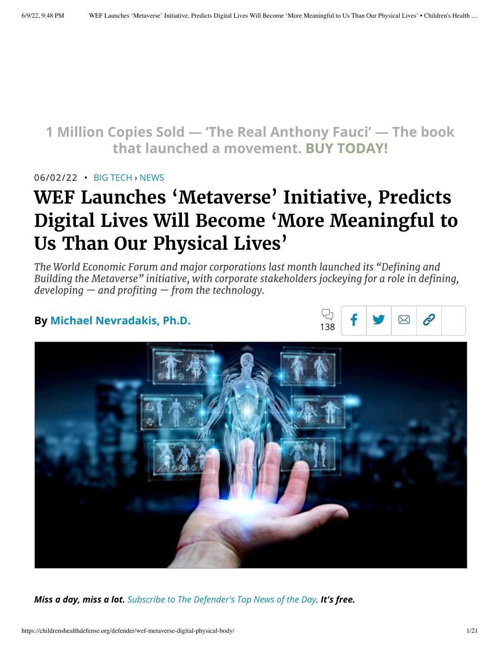## **1 [Million Copies](https://www.amazon.com/Real-Anthony-Fauci-Democracy-Childrens/dp/1510766804) Sold — 'The Real Anthony Fauci' — The book that launched a movement. BUY TODAY!**

#### 06/02/22 • BIG [TECH](https://childrenshealthdefense.org/defender_category/big-tech) › [NEWS](https://childrenshealthdefense.org/defender-news)

# **WEF Launches 'Metaverse' Initiative, Predicts Digital Lives Will Become 'More Meaningful to Us Than Our Physical Lives'**

*The World Economic Forum and major corporations last month launched its "Defining and Building the Metaverse" initiative, with corporate stakeholders jockeying for a role in defining, developing — and profiting — from the technology.*

### **By [Michael Nevradakis,](https://childrenshealthdefense.org/authors/michael-nevradakis-ph-d/) Ph.D.**





*Miss a day, miss a lot. Subscribe to [The Defender's](https://childrenshealthdefense.org/about-us/sign-up/?utm_source=top_of_article&utm_medium=the_defender&utm_campaign=sign_ups) Top News of the Day. It's free.*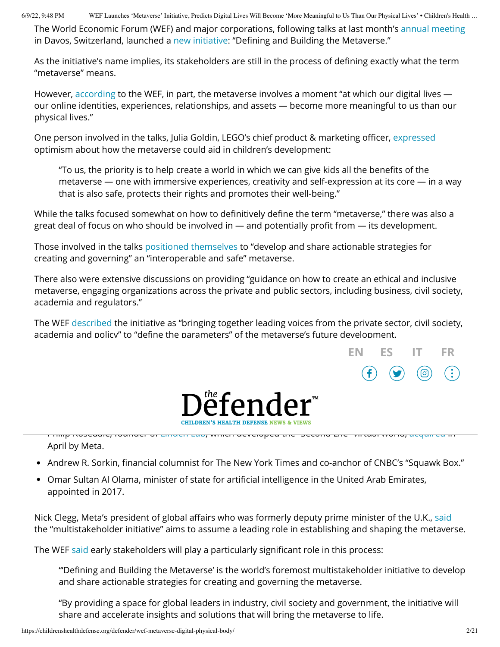The World Economic Forum (WEF) and major corporations, following talks at last month's annual [meeting](https://www.weforum.org/events/world-economic-forum-annual-meeting-2022) in Davos, Switzerland, launched a new [initiative](https://initiatives.weforum.org/defining-and-building-the-metaverse): "Defining and Building the Metaverse."

As the initiative's name implies, its stakeholders are still in the process of defining exactly what the term "metaverse" means.

However, [according](https://www.weforum.org/agenda/2022/02/future-of-the-metaverse-vr-ar-and-brain-computer/) to the WEF, in part, the metaverse involves a moment "at which our digital lives our online identities, experiences, relationships, and assets — become more meaningful to us than our physical lives."

One person involved in the talks, Julia Goldin, LEGO's chief product & marketing officer, [expressed](https://www.weforum.org/press/2022/05/new-initiative-to-build-an-equitable-interoperable-and-safe-metaverse) optimism about how the metaverse could aid in children's development:

"To us, the priority is to help create a world in which we can give kids all the benefits of the metaverse — one with immersive experiences, creativity and self-expression at its core — in a way that is also safe, protects their rights and promotes their well-being."

While the talks focused somewhat on how to definitively define the term "metaverse," there was also a great deal of focus on who should be involved in — and potentially profit from — its development.

Those involved in the talks [positioned themselves](https://initiatives.weforum.org/defining-and-building-the-metaverse) to "develop and share actionable strategies for creating and governing" an "interoperable and safe" metaverse.

There also were extensive discussions on providing "guidance on how to create an ethical and inclusive metaverse, engaging organizations across the private and public sectors, including business, civil society, academia and regulators."

The WEF [described](https://initiatives.weforum.org/defining-and-building-the-metaverse) the initiative as "bringing together leading voices from the private sector, civil society, academia and policy" to "define the parameters" of the metaverse's future development.





Philip Rosedale, founder of [Linden](https://www.lindenlab.com/) Lab, which developed the "Second Life" virtual world, [acquired](https://www.juicybomb.com/2022/04/meta-acquires-second-life-from-linden-lab/) in April by Meta.

- Andrew R. Sorkin, financial columnist for The New York Times and co-anchor of CNBC's "Squawk Box."
- Omar Sultan Al Olama, minister of state for artificial intelligence in the United Arab Emirates, appointed in 2017.

Nick Clegg, Meta's president of global affairs who was formerly deputy prime minister of the U.K., [said](https://reclaimthenet.org/wef-to-have-leadership-role-in-metaverse/) the "multistakeholder initiative" aims to assume a leading role in establishing and shaping the metaverse.

The WEF [said](https://initiatives.weforum.org/defining-and-building-the-metaverse) early stakeholders will play a particularly significant role in this process:

"'Defining and Building the Metaverse' is the world's foremost multistakeholder initiative to develop and share actionable strategies for creating and governing the metaverse.

"By providing a space for global leaders in industry, civil society and government, the initiative will share and accelerate insights and solutions that will bring the metaverse to life.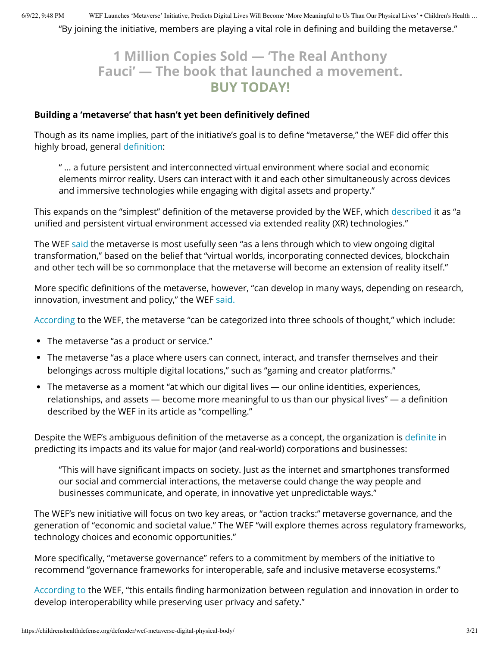"By joining the initiative, members are playing a vital role in defining and building the metaverse."

### **1 Million Copies Sold — 'The [Real Anthony](https://www.amazon.com/Real-Anthony-Fauci-Democracy-Childrens/dp/1510766804) Fauci' — The book that launched a movement. BUY TODAY!**

#### **Building a 'metaverse' that hasn't yet been definitively defined**

Though as its name implies, part of the initiative's goal is to define "metaverse," the WEF did offer this highly broad, general [definition](https://initiatives.weforum.org/defining-and-building-the-metaverse):

" … a future persistent and interconnected virtual environment where social and economic elements mirror reality. Users can interact with it and each other simultaneously across devices and immersive technologies while engaging with digital assets and property."

This expands on the "simplest" definition of the metaverse provided by the WEF, which [described](https://www.weforum.org/agenda/2022/05/metaverse-governance/) it as "a unified and persistent virtual environment accessed via extended reality (XR) technologies."

The WEF [said](https://www.weforum.org/agenda/2022/05/metaverse-governance/) the metaverse is most usefully seen "as a lens through which to view ongoing digital transformation," based on the belief that "virtual worlds, incorporating connected devices, blockchain and other tech will be so commonplace that the metaverse will become an extension of reality itself."

More specific definitions of the metaverse, however, "can develop in many ways, depending on research, innovation, investment and policy," the WEF [said.](https://www.weforum.org/press/2022/05/new-initiative-to-build-an-equitable-interoperable-and-safe-metaverse)

[According](https://www.weforum.org/agenda/2022/02/future-of-the-metaverse-vr-ar-and-brain-computer/) to the WEF, the metaverse "can be categorized into three schools of thought," which include:

- The metaverse "as a product or service."
- The metaverse "as a place where users can connect, interact, and transfer themselves and their belongings across multiple digital locations," such as "gaming and creator platforms."
- The metaverse as a moment "at which our digital lives our online identities, experiences, relationships, and assets — become more meaningful to us than our physical lives" — a definition described by the WEF in its article as "compelling."

Despite the WEF's ambiguous definition of the metaverse as a concept, the organization is [definite](https://www.weforum.org/agenda/2022/05/metaverse-governance/) in predicting its impacts and its value for major (and real-world) corporations and businesses:

"This will have significant impacts on society. Just as the internet and smartphones transformed our social and commercial interactions, the metaverse could change the way people and businesses communicate, and operate, in innovative yet unpredictable ways."

The WEF's new initiative will focus on two key areas, or "action tracks:" metaverse governance, and the generation of "economic and societal value." The WEF "will explore themes across regulatory frameworks, technology choices and economic opportunities."

More specifically, "metaverse governance" refers to a commitment by members of the initiative to recommend "governance frameworks for interoperable, safe and inclusive metaverse ecosystems."

[According](https://initiatives.weforum.org/defining-and-building-the-metaverse) to the WEF, "this entails finding harmonization between regulation and innovation in order to develop interoperability while preserving user privacy and safety."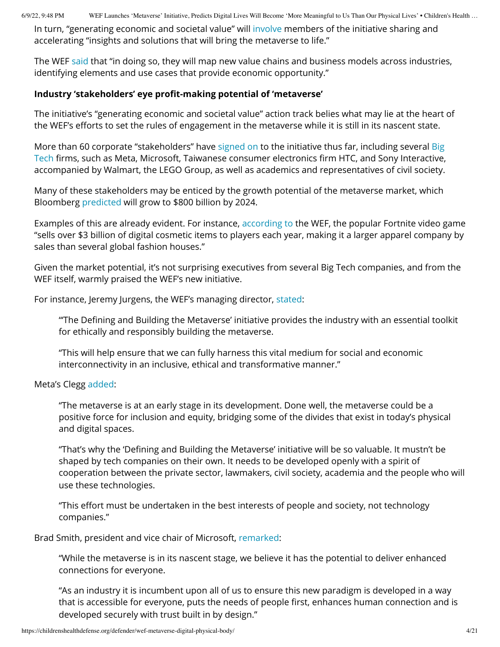In turn, "generating economic and societal value" will [involve](https://initiatives.weforum.org/defining-and-building-the-metaverse) members of the initiative sharing and accelerating "insights and solutions that will bring the metaverse to life."

The WEF [said](https://initiatives.weforum.org/defining-and-building-the-metaverse) that "in doing so, they will map new value chains and business models across industries, identifying elements and use cases that provide economic opportunity."

#### **Industry 'stakeholders' eye profit-making potential of 'metaverse'**

The initiative's "generating economic and societal value" action track belies what may lie at the heart of the WEF's efforts to set the rules of engagement in the metaverse while it is still in its nascent state.

More than 60 corporate ["stakeholders"](https://childrenshealthdefense.org/defender_category/big-tech/) have [signed on](https://reclaimthenet.org/wef-to-have-leadership-role-in-metaverse/) to the initiative thus far, including several Big Tech firms, such as Meta, Microsoft, Taiwanese consumer electronics firm HTC, and Sony Interactive, accompanied by Walmart, the LEGO Group, as well as academics and representatives of civil society.

Many of these stakeholders may be enticed by the growth potential of the metaverse market, which Bloomberg [predicted](https://www.bloomberg.com/professional/blog/metaverse-may-be-800-billion-market-next-tech-platform/) will grow to \$800 billion by 2024.

Examples of this are already evident. For instance, [according](https://www.weforum.org/agenda/2022/05/metaverse-governance/) to the WEF, the popular Fortnite video game "sells over \$3 billion of digital cosmetic items to players each year, making it a larger apparel company by sales than several global fashion houses."

Given the market potential, it's not surprising executives from several Big Tech companies, and from the WEF itself, warmly praised the WEF's new initiative.

For instance, Jeremy Jurgens, the WEF's managing director, [stated:](https://www.weforum.org/press/2022/05/new-initiative-to-build-an-equitable-interoperable-and-safe-metaverse)

"'The Defining and Building the Metaverse' initiative provides the industry with an essential toolkit for ethically and responsibly building the metaverse.

"This will help ensure that we can fully harness this vital medium for social and economic interconnectivity in an inclusive, ethical and transformative manner."

#### Meta's Clegg [added:](https://www.weforum.org/press/2022/05/new-initiative-to-build-an-equitable-interoperable-and-safe-metaverse)

"The metaverse is at an early stage in its development. Done well, the metaverse could be a positive force for inclusion and equity, bridging some of the divides that exist in today's physical and digital spaces.

"That's why the 'Defining and Building the Metaverse' initiative will be so valuable. It mustn't be shaped by tech companies on their own. It needs to be developed openly with a spirit of cooperation between the private sector, lawmakers, civil society, academia and the people who will use these technologies.

"This effort must be undertaken in the best interests of people and society, not technology companies."

#### Brad Smith, president and vice chair of Microsoft, [remarked:](https://www.weforum.org/press/2022/05/new-initiative-to-build-an-equitable-interoperable-and-safe-metaverse)

"While the metaverse is in its nascent stage, we believe it has the potential to deliver enhanced connections for everyone.

"As an industry it is incumbent upon all of us to ensure this new paradigm is developed in a way that is accessible for everyone, puts the needs of people first, enhances human connection and is developed securely with trust built in by design."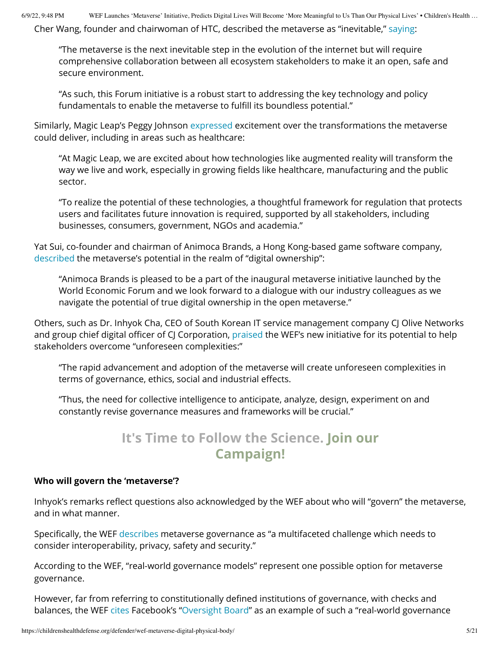Cher Wang, founder and chairwoman of HTC, described the metaverse as "inevitable," [saying:](https://www.weforum.org/press/2022/05/new-initiative-to-build-an-equitable-interoperable-and-safe-metaverse)

"The metaverse is the next inevitable step in the evolution of the internet but will require comprehensive collaboration between all ecosystem stakeholders to make it an open, safe and secure environment.

"As such, this Forum initiative is a robust start to addressing the key technology and policy fundamentals to enable the metaverse to fulfill its boundless potential."

Similarly, Magic Leap's Peggy Johnson [expressed](https://www.weforum.org/press/2022/05/new-initiative-to-build-an-equitable-interoperable-and-safe-metaverse) excitement over the transformations the metaverse could deliver, including in areas such as healthcare:

"At Magic Leap, we are excited about how technologies like augmented reality will transform the way we live and work, especially in growing fields like healthcare, manufacturing and the public sector.

"To realize the potential of these technologies, a thoughtful framework for regulation that protects users and facilitates future innovation is required, supported by all stakeholders, including businesses, consumers, government, NGOs and academia."

Yat Sui, co-founder and chairman of Animoca Brands, a Hong Kong-based game software company, [described](https://www.weforum.org/press/2022/05/new-initiative-to-build-an-equitable-interoperable-and-safe-metaverse%20%0d3) the metaverse's potential in the realm of "digital ownership":

"Animoca Brands is pleased to be a part of the inaugural metaverse initiative launched by the World Economic Forum and we look forward to a dialogue with our industry colleagues as we navigate the potential of true digital ownership in the open metaverse."

Others, such as Dr. Inhyok Cha, CEO of South Korean IT service management company CJ Olive Networks and group chief digital officer of CJ Corporation, [praised](https://www.weforum.org/press/2022/05/new-initiative-to-build-an-equitable-interoperable-and-safe-metaverse) the WEF's new initiative for its potential to help stakeholders overcome "unforeseen complexities:"

"The rapid advancement and adoption of the metaverse will create unforeseen complexities in terms of governance, ethics, social and industrial effects.

"Thus, the need for collective intelligence to anticipate, analyze, design, experiment on and constantly revise governance measures and frameworks will be crucial."

## **It's Time to Follow the Science. Join our [Campaign!](https://childrenshealthdefense.org/child-health-topics/health-freedom/its-time-to-follow-the-science/?itm_term=shortcode)**

#### **Who will govern the 'metaverse'?**

Inhyok's remarks reflect questions also acknowledged by the WEF about who will "govern" the metaverse, and in what manner.

Specifically, the WEF [describes](https://www.weforum.org/agenda/2022/05/metaverse-governance/) metaverse governance as "a multifaceted challenge which needs to consider interoperability, privacy, safety and security."

According to the WEF, "real-world governance models" represent one possible option for metaverse governance.

However, far from referring to constitutionally defined institutions of governance, with checks and balances, the WEF [cites](https://www.weforum.org/agenda/2022/05/metaverse-governance/) Facebook's "[Oversight](https://www.ft.com/video/56db419e-e3ad-43ba-abe2-5c0e75de6ecf) Board" as an example of such a "real-world governance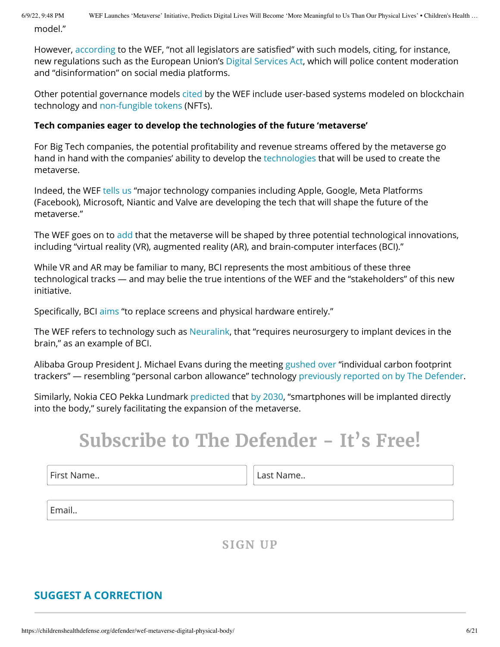model."

However, [according](https://www.weforum.org/agenda/2022/05/metaverse-governance/) to the WEF, "not all legislators are satisfied" with such models, citing, for instance, new regulations such as the European Union's Digital [Services](https://childrenshealthdefense.org/defender/online-disinformation-policies-world-governance-social-media/) Act, which will police content moderation and "disinformation" on social media platforms.

Other potential governance models [cited](https://www.weforum.org/agenda/2022/05/metaverse-governance/) by the WEF include user-based systems modeled on blockchain technology and [non-fungible](https://www.investopedia.com/non-fungible-tokens-nft-5115211) tokens (NFTs).

#### **Tech companies eager to develop the technologies of the future 'metaverse'**

For Big Tech companies, the potential profitability and revenue streams offered by the metaverse go hand in hand with the companies' ability to develop the [technologies](https://www.weforum.org/agenda/2022/02/future-of-the-metaverse-vr-ar-and-brain-computer/) that will be used to create the metaverse.

Indeed, the WEF [tells](https://www.weforum.org/agenda/2022/02/future-of-the-metaverse-vr-ar-and-brain-computer/) us "major technology companies including Apple, Google, Meta Platforms (Facebook), Microsoft, Niantic and Valve are developing the tech that will shape the future of the metaverse."

The WEF goes on to [add](https://www.weforum.org/agenda/2022/02/future-of-the-metaverse-vr-ar-and-brain-computer/) that the metaverse will be shaped by three potential technological innovations, including "virtual reality (VR), augmented reality (AR), and brain-computer interfaces (BCI)."

While VR and AR may be familiar to many, BCI represents the most ambitious of these three technological tracks — and may belie the true intentions of the WEF and the "stakeholders" of this new initiative.

Specifically, BCI [aims](https://www.weforum.org/agenda/2022/02/future-of-the-metaverse-vr-ar-and-brain-computer/) "to replace screens and physical hardware entirely."

The WEF refers to technology such as [Neuralink](https://waitbutwhy.com/2017/04/neuralink.html), that "requires neurosurgery to implant devices in the brain," as an example of BCI.

Alibaba Group President J. Michael Evans during the meeting [gushed over](https://twitter.com/AndrewLawton/status/1529045188764921856?ref_src=twsrc%5Etfw%7Ctwcamp%5Etweetembed%7Ctwterm%5E1529045188764921856%7Ctwgr%5E%7Ctwcon%5Es1_&ref_url=https%3A%2F%2Fvigilantcitizen.com%2Fvigilantreport%2Ftop-10-insane-wef%2F) "individual carbon footprint trackers" — resembling "personal carbon allowance" technology previously [reported on](https://childrenshealthdefense.org/defender/personal-carbon-allowances-surveillance-capitalism/) by The Defender.

Similarly, Nokia CEO Pekka Lundmark [predicted](https://www.youtube.com/watch?v=LJpBJAHqY0M) that by [2030,](http://allthatstreaming.com/media/ats/video/petta-lundmark.mp4) "smartphones will be implanted directly into the body," surely facilitating the expansion of the metaverse.

# **Subscribe to The Defender - It's Free!**

First Name.. **Last Name..** Last Name..

Email..

**SIGN UP**

### **SUGGEST A [CORRECTION](https://childrenshealthdefense.org/suggest-a-correction/)**